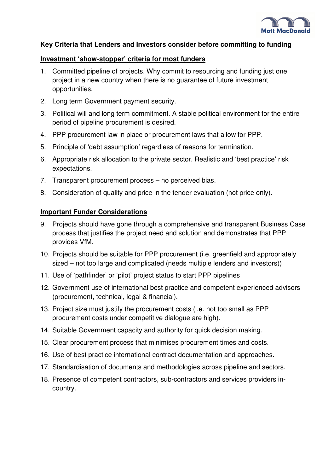

### **Key Criteria that Lenders and Investors consider before committing to funding**

#### **Investment 'show-stopper' criteria for most funders**

- 1. Committed pipeline of projects. Why commit to resourcing and funding just one project in a new country when there is no guarantee of future investment opportunities.
- 2. Long term Government payment security.
- 3. Political will and long term commitment. A stable political environment for the entire period of pipeline procurement is desired.
- 4. PPP procurement law in place or procurement laws that allow for PPP.
- 5. Principle of 'debt assumption' regardless of reasons for termination.
- 6. Appropriate risk allocation to the private sector. Realistic and 'best practice' risk expectations.
- 7. Transparent procurement process no perceived bias.
- 8. Consideration of quality and price in the tender evaluation (not price only).

#### **Important Funder Considerations**

- 9. Projects should have gone through a comprehensive and transparent Business Case process that justifies the project need and solution and demonstrates that PPP provides VfM.
- 10. Projects should be suitable for PPP procurement (i.e. greenfield and appropriately sized – not too large and complicated (needs multiple lenders and investors))
- 11. Use of 'pathfinder' or 'pilot' project status to start PPP pipelines
- 12. Government use of international best practice and competent experienced advisors (procurement, technical, legal & financial).
- 13. Project size must justify the procurement costs (i.e. not too small as PPP procurement costs under competitive dialogue are high).
- 14. Suitable Government capacity and authority for quick decision making.
- 15. Clear procurement process that minimises procurement times and costs.
- 16. Use of best practice international contract documentation and approaches.
- 17. Standardisation of documents and methodologies across pipeline and sectors.
- 18. Presence of competent contractors, sub-contractors and services providers incountry.